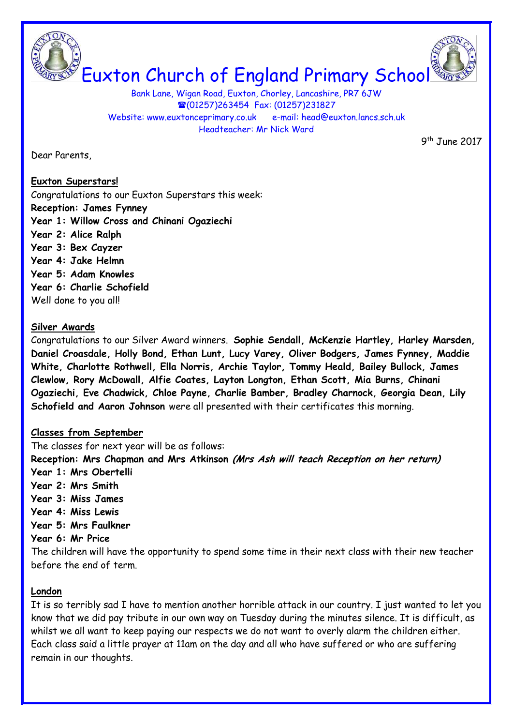



Bank Lane, Wigan Road, Euxton, Chorley, Lancashire, PR7 6JW (01257)263454 Fax: (01257)231827 Website: www.euxtonceprimary.co.uk e-mail: [head@euxton.lancs.sch.uk](mailto:head@euxton.lancs.sch.uk) Headteacher: Mr Nick Ward

Dear Parents,

 9  $9<sup>th</sup>$  June 2017

## **Euxton Superstars!**

Congratulations to our Euxton Superstars this week: **Reception: James Fynney Year 1: Willow Cross and Chinani Ogaziechi Year 2: Alice Ralph Year 3: Bex Cayzer Year 4: Jake Helmn Year 5: Adam Knowles Year 6: Charlie Schofield** Well done to you all!

#### **Silver Awards**

Congratulations to our Silver Award winners. **Sophie Sendall, McKenzie Hartley, Harley Marsden, Daniel Croasdale, Holly Bond, Ethan Lunt, Lucy Varey, Oliver Bodgers, James Fynney, Maddie White, Charlotte Rothwell, Ella Norris, Archie Taylor, Tommy Heald, Bailey Bullock, James Clewlow, Rory McDowall, Alfie Coates, Layton Longton, Ethan Scott, Mia Burns, Chinani Ogaziechi, Eve Chadwick, Chloe Payne, Charlie Bamber, Bradley Charnock, Georgia Dean, Lily Schofield and Aaron Johnson** were all presented with their certificates this morning.

## **Classes from September**

The classes for next year will be as follows:

**Reception: Mrs Chapman and Mrs Atkinson (Mrs Ash will teach Reception on her return)**

- **Year 1: Mrs Obertelli**
- **Year 2: Mrs Smith**
- **Year 3: Miss James**
- **Year 4: Miss Lewis**
- **Year 5: Mrs Faulkner**

**Year 6: Mr Price**

The children will have the opportunity to spend some time in their next class with their new teacher before the end of term.

## **London**

It is so terribly sad I have to mention another horrible attack in our country. I just wanted to let you know that we did pay tribute in our own way on Tuesday during the minutes silence. It is difficult, as whilst we all want to keep paying our respects we do not want to overly alarm the children either. Each class said a little prayer at 11am on the day and all who have suffered or who are suffering remain in our thoughts.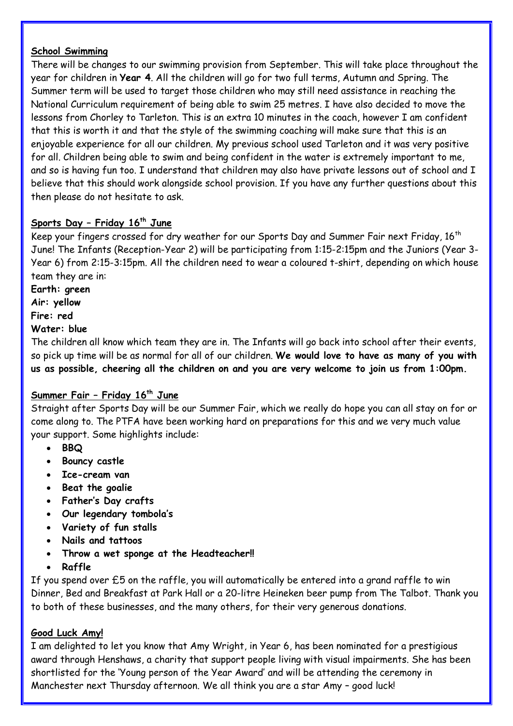#### **School Swimming**

There will be changes to our swimming provision from September. This will take place throughout the year for children in **Year 4**. All the children will go for two full terms, Autumn and Spring. The Summer term will be used to target those children who may still need assistance in reaching the National Curriculum requirement of being able to swim 25 metres. I have also decided to move the lessons from Chorley to Tarleton. This is an extra 10 minutes in the coach, however I am confident that this is worth it and that the style of the swimming coaching will make sure that this is an enjoyable experience for all our children. My previous school used Tarleton and it was very positive for all. Children being able to swim and being confident in the water is extremely important to me, and so is having fun too. I understand that children may also have private lessons out of school and I believe that this should work alongside school provision. If you have any further questions about this then please do not hesitate to ask.

# **Sports Day – Friday 16th June**

Keep your fingers crossed for dry weather for our Sports Day and Summer Fair next Friday,  $16<sup>th</sup>$ June! The Infants (Reception-Year 2) will be participating from 1:15-2:15pm and the Juniors (Year 3- Year 6) from 2:15-3:15pm. All the children need to wear a coloured t-shirt, depending on which house team they are in:

**Earth: green Air: yellow Fire: red Water: blue**

The children all know which team they are in. The Infants will go back into school after their events, so pick up time will be as normal for all of our children. **We would love to have as many of you with us as possible, cheering all the children on and you are very welcome to join us from 1:00pm.**

## **Summer Fair – Friday 16th June**

Straight after Sports Day will be our Summer Fair, which we really do hope you can all stay on for or come along to. The PTFA have been working hard on preparations for this and we very much value your support. Some highlights include:

- **BBQ**
- **•** Bouncy castle
- **Ice-cream van**
- **•** Beat the goalie
- **Father's Day crafts**
- **Our legendary tombola's**
- **Variety of fun stalls**
- **Nails and tattoos**
- **Throw a wet sponge at the Headteacher!!**
- **Raffle**

If you spend over £5 on the raffle, you will automatically be entered into a grand raffle to win Dinner, Bed and Breakfast at Park Hall or a 20-litre Heineken beer pump from The Talbot. Thank you to both of these businesses, and the many others, for their very generous donations.

## **Good Luck Amy!**

I am delighted to let you know that Amy Wright, in Year 6, has been nominated for a prestigious award through Henshaws, a charity that support people living with visual impairments. She has been shortlisted for the 'Young person of the Year Award' and will be attending the ceremony in Manchester next Thursday afternoon. We all think you are a star Amy – good luck!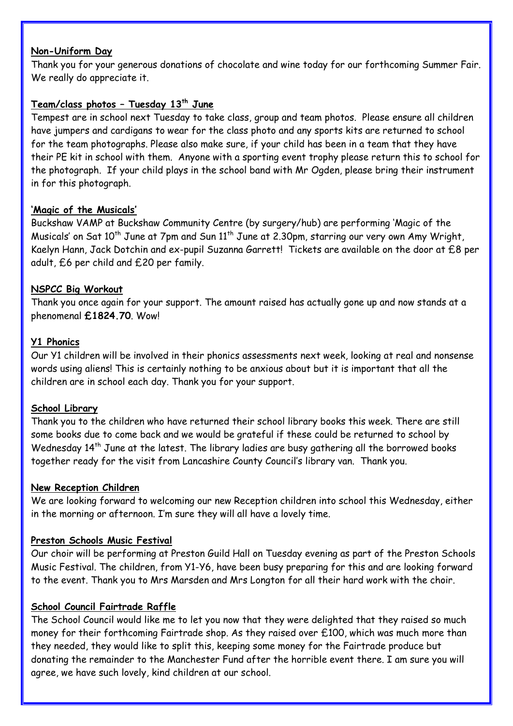#### **Non-Uniform Day**

Thank you for your generous donations of chocolate and wine today for our forthcoming Summer Fair. We really do appreciate it.

# **Team/class photos – Tuesday 13th June**

Tempest are in school next Tuesday to take class, group and team photos. Please ensure all children have jumpers and cardigans to wear for the class photo and any sports kits are returned to school for the team photographs. Please also make sure, if your child has been in a team that they have their PE kit in school with them. Anyone with a sporting event trophy please return this to school for the photograph. If your child plays in the school band with Mr Ogden, please bring their instrument in for this photograph.

# **'Magic of the Musicals'**

Buckshaw VAMP at Buckshaw Community Centre (by surgery/hub) are performing 'Magic of the Musicals' on Sat  $10^{th}$  June at 7pm and Sun  $11^{th}$  June at 2.30pm, starring our very own Amy Wright, Kaelyn Hann, Jack Dotchin and ex-pupil Suzanna Garrett! Tickets are available on the door at £8 per adult, £6 per child and £20 per family.

# **NSPCC Big Workout**

Thank you once again for your support. The amount raised has actually gone up and now stands at a phenomenal **£1824.70**. Wow!

## **Y1 Phonics**

Our Y1 children will be involved in their phonics assessments next week, looking at real and nonsense words using aliens! This is certainly nothing to be anxious about but it is important that all the children are in school each day. Thank you for your support.

## **School Library**

Thank you to the children who have returned their school library books this week. There are still some books due to come back and we would be grateful if these could be returned to school by Wednesday  $14<sup>th</sup>$  June at the latest. The library ladies are busy gathering all the borrowed books together ready for the visit from Lancashire County Council's library van. Thank you.

## **New Reception Children**

We are looking forward to welcoming our new Reception children into school this Wednesday, either in the morning or afternoon. I'm sure they will all have a lovely time.

## **Preston Schools Music Festival**

Our choir will be performing at Preston Guild Hall on Tuesday evening as part of the Preston Schools Music Festival. The children, from Y1-Y6, have been busy preparing for this and are looking forward to the event. Thank you to Mrs Marsden and Mrs Longton for all their hard work with the choir.

## **School Council Fairtrade Raffle**

The School Council would like me to let you now that they were delighted that they raised so much money for their forthcoming Fairtrade shop. As they raised over £100, which was much more than they needed, they would like to split this, keeping some money for the Fairtrade produce but donating the remainder to the Manchester Fund after the horrible event there. I am sure you will agree, we have such lovely, kind children at our school.